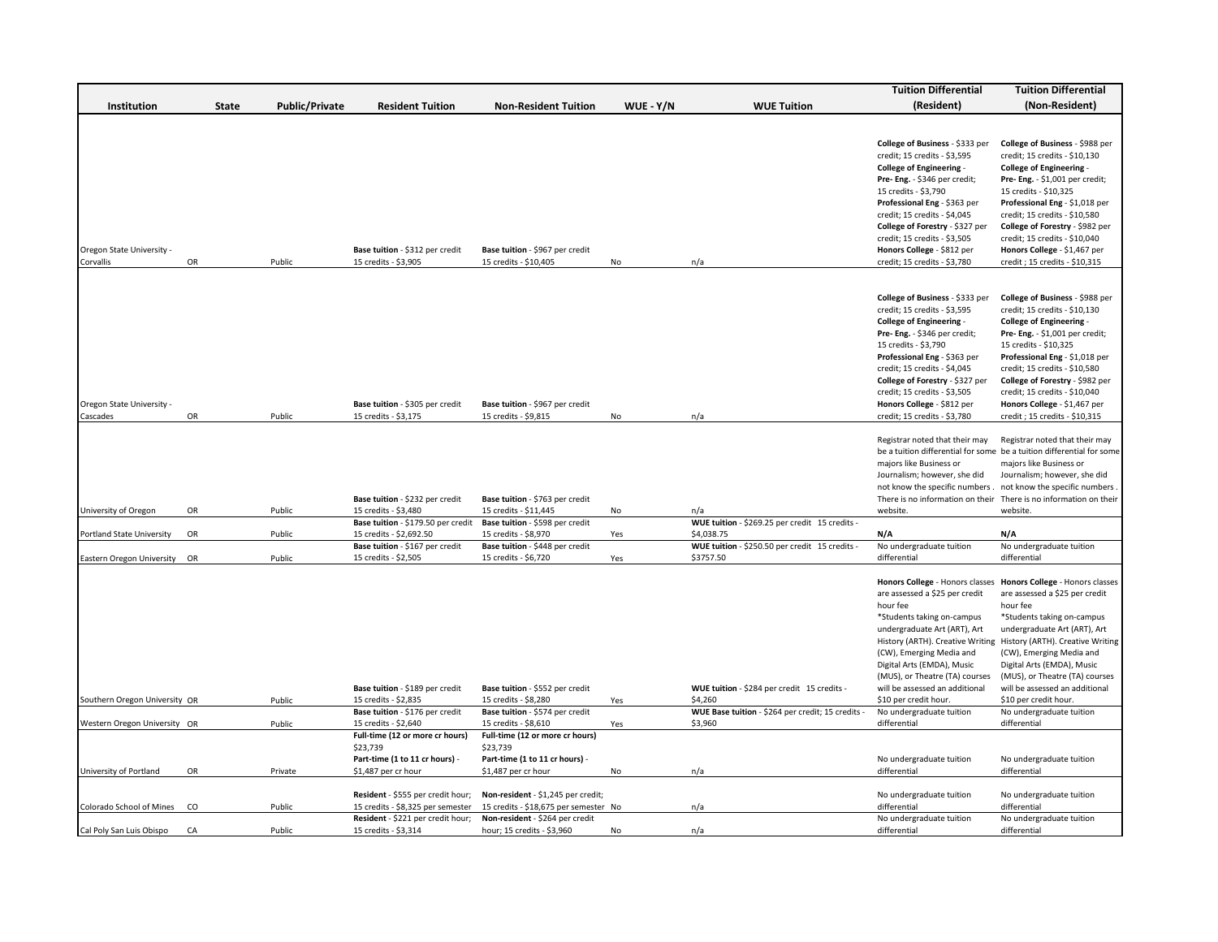|                                        |    |         |                       |                                                                               |                                                                               |           |                                                              | <b>Tuition Differential</b>                                                                                                                                                                                                                                                                                                                                  | <b>Tuition Differential</b>                                                                                                                                                                                                                                                                                                                                             |
|----------------------------------------|----|---------|-----------------------|-------------------------------------------------------------------------------|-------------------------------------------------------------------------------|-----------|--------------------------------------------------------------|--------------------------------------------------------------------------------------------------------------------------------------------------------------------------------------------------------------------------------------------------------------------------------------------------------------------------------------------------------------|-------------------------------------------------------------------------------------------------------------------------------------------------------------------------------------------------------------------------------------------------------------------------------------------------------------------------------------------------------------------------|
| Institution                            |    | State   | <b>Public/Private</b> | <b>Resident Tuition</b>                                                       | <b>Non-Resident Tuition</b>                                                   | WUE - Y/N | <b>WUE Tuition</b>                                           | (Resident)                                                                                                                                                                                                                                                                                                                                                   | (Non-Resident)                                                                                                                                                                                                                                                                                                                                                          |
|                                        |    |         |                       |                                                                               |                                                                               |           |                                                              |                                                                                                                                                                                                                                                                                                                                                              |                                                                                                                                                                                                                                                                                                                                                                         |
| Oregon State University -<br>Corvallis | OR | Public  |                       | Base tuition - \$312 per credit<br>15 credits - \$3,905                       | Base tuition - \$967 per credit<br>15 credits - \$10,405                      | No        | n/a                                                          | College of Business - \$333 per<br>credit; 15 credits - \$3,595<br><b>College of Engineering -</b><br>Pre- Eng. - \$346 per credit;<br>15 credits - \$3,790<br>Professional Eng - \$363 per<br>credit; 15 credits - \$4,045<br>College of Forestry - \$327 per<br>credit; 15 credits - \$3,505<br>Honors College - \$812 per<br>credit; 15 credits - \$3,780 | College of Business - \$988 per<br>credit; 15 credits - \$10,130<br><b>College of Engineering -</b><br>Pre- Eng. - \$1,001 per credit;<br>15 credits - \$10,325<br>Professional Eng - \$1,018 per<br>credit; 15 credits - \$10,580<br>College of Forestry - \$982 per<br>credit; 15 credits - \$10,040<br>Honors College - \$1,467 per<br>credit; 15 credits - \$10,315 |
|                                        |    |         |                       |                                                                               |                                                                               |           |                                                              |                                                                                                                                                                                                                                                                                                                                                              |                                                                                                                                                                                                                                                                                                                                                                         |
| Oregon State University -              |    |         |                       | Base tuition - \$305 per credit                                               | Base tuition - \$967 per credit                                               |           |                                                              | College of Business - \$333 per<br>credit; 15 credits - \$3,595<br><b>College of Engineering -</b><br>Pre- Eng. - \$346 per credit;<br>15 credits - \$3,790<br>Professional Eng - \$363 per<br>credit; 15 credits - \$4,045<br>College of Forestry - \$327 per<br>credit; 15 credits - \$3,505<br>Honors College - \$812 per                                 | College of Business - \$988 per<br>credit; 15 credits - \$10,130<br>College of Engineering -<br>Pre- Eng. - \$1,001 per credit;<br>15 credits - \$10,325<br>Professional Eng - \$1,018 per<br>credit; 15 credits - \$10,580<br>College of Forestry - \$982 per<br>credit; 15 credits - \$10,040<br>Honors College - \$1,467 per                                         |
| Cascades                               | OR | Public  |                       | 15 credits - \$3,175                                                          | 15 credits - \$9,815                                                          | No        | n/a                                                          | credit; 15 credits - \$3,780                                                                                                                                                                                                                                                                                                                                 | credit; 15 credits - \$10,315                                                                                                                                                                                                                                                                                                                                           |
|                                        |    |         |                       | Base tuition - \$232 per credit                                               | Base tuition - \$763 per credit                                               |           |                                                              | Registrar noted that their may<br>majors like Business or<br>Journalism; however, she did<br>not know the specific numbers . not know the specific numbers                                                                                                                                                                                                   | Registrar noted that their may<br>be a tuition differential for some be a tuition differential for some<br>majors like Business or<br>Journalism; however, she did<br>There is no information on their There is no information on their                                                                                                                                 |
| University of Oregon                   | OR | Public  |                       | 15 credits - \$3,480                                                          | 15 credits - \$11,445                                                         | No        | n/a                                                          | website.                                                                                                                                                                                                                                                                                                                                                     | website.                                                                                                                                                                                                                                                                                                                                                                |
| Portland State University              | OR | Public  |                       | Base tuition - \$179.50 per credit<br>15 credits - \$2,692.50                 | Base tuition - \$598 per credit<br>15 credits - \$8,970                       | Yes       | WUE tuition - \$269.25 per credit 15 credits -<br>\$4,038.75 | N/A                                                                                                                                                                                                                                                                                                                                                          | N/A                                                                                                                                                                                                                                                                                                                                                                     |
|                                        |    |         |                       | Base tuition - \$167 per credit                                               | Base tuition - \$448 per credit                                               |           | WUE tuition - \$250.50 per credit 15 credits -               | No undergraduate tuition                                                                                                                                                                                                                                                                                                                                     | No undergraduate tuition                                                                                                                                                                                                                                                                                                                                                |
| Eastern Oregon University OR           |    | Public  |                       | 15 credits - \$2,505                                                          | 15 credits - \$6,720                                                          | Yes       | \$3757.50                                                    | differential                                                                                                                                                                                                                                                                                                                                                 | differential                                                                                                                                                                                                                                                                                                                                                            |
|                                        |    |         |                       | Base tuition - \$189 per credit                                               | Base tuition - \$552 per credit                                               |           | WUE tuition - \$284 per credit 15 credits -                  | are assessed a \$25 per credit<br>hour fee<br>*Students taking on-campus<br>undergraduate Art (ART), Art<br>History (ARTH). Creative Writing<br>(CW), Emerging Media and<br>Digital Arts (EMDA), Music<br>(MUS), or Theatre (TA) courses<br>will be assessed an additional                                                                                   | Honors College - Honors classes Honors College - Honors classes<br>are assessed a \$25 per credit<br>hour fee<br>*Students taking on-campus<br>undergraduate Art (ART), Art<br>History (ARTH). Creative Writing<br>(CW), Emerging Media and<br>Digital Arts (EMDA), Music<br>(MUS), or Theatre (TA) courses<br>will be assessed an additional                           |
| Southern Oregon University OR          |    | Public  |                       | 15 credits - \$2,835                                                          | 15 credits - \$8,280                                                          | Yes       | \$4,260                                                      | \$10 per credit hour.                                                                                                                                                                                                                                                                                                                                        | \$10 per credit hour.                                                                                                                                                                                                                                                                                                                                                   |
| Western Oregon University OR           |    | Public  |                       | Base tuition - \$176 per credit<br>15 credits - \$2,640                       | Base tuition - \$574 per credit<br>15 credits - \$8,610                       | Yes       | WUE Base tuition - \$264 per credit; 15 credits -<br>\$3,960 | No undergraduate tuition<br>differential                                                                                                                                                                                                                                                                                                                     | No undergraduate tuition<br>differential                                                                                                                                                                                                                                                                                                                                |
|                                        |    |         |                       | Full-time (12 or more cr hours)<br>\$23,739<br>Part-time (1 to 11 cr hours) - | Full-time (12 or more cr hours)<br>\$23,739<br>Part-time (1 to 11 cr hours) - |           |                                                              |                                                                                                                                                                                                                                                                                                                                                              |                                                                                                                                                                                                                                                                                                                                                                         |
| University of Portland                 | OR | Private |                       | \$1,487 per cr hour                                                           | \$1,487 per cr hour                                                           | No        | n/a                                                          | No undergraduate tuition<br>differential                                                                                                                                                                                                                                                                                                                     | No undergraduate tuition<br>differential                                                                                                                                                                                                                                                                                                                                |
|                                        |    |         |                       | Resident - \$555 per credit hour;                                             | Non-resident - \$1,245 per credit;                                            |           |                                                              | No undergraduate tuition                                                                                                                                                                                                                                                                                                                                     | No undergraduate tuition                                                                                                                                                                                                                                                                                                                                                |
| Colorado School of Mines               | CO | Public  |                       | 15 credits - \$8,325 per semester<br>Resident - \$221 per credit hour;        | 15 credits - \$18,675 per semester No<br>Non-resident - \$264 per credit      |           | n/a                                                          | differential<br>No undergraduate tuition                                                                                                                                                                                                                                                                                                                     | differential<br>No undergraduate tuition                                                                                                                                                                                                                                                                                                                                |
| Cal Poly San Luis Obispo               | CA | Public  |                       | 15 credits - \$3,314                                                          | hour; 15 credits - \$3,960                                                    | No        | n/a                                                          | differential                                                                                                                                                                                                                                                                                                                                                 | differential                                                                                                                                                                                                                                                                                                                                                            |